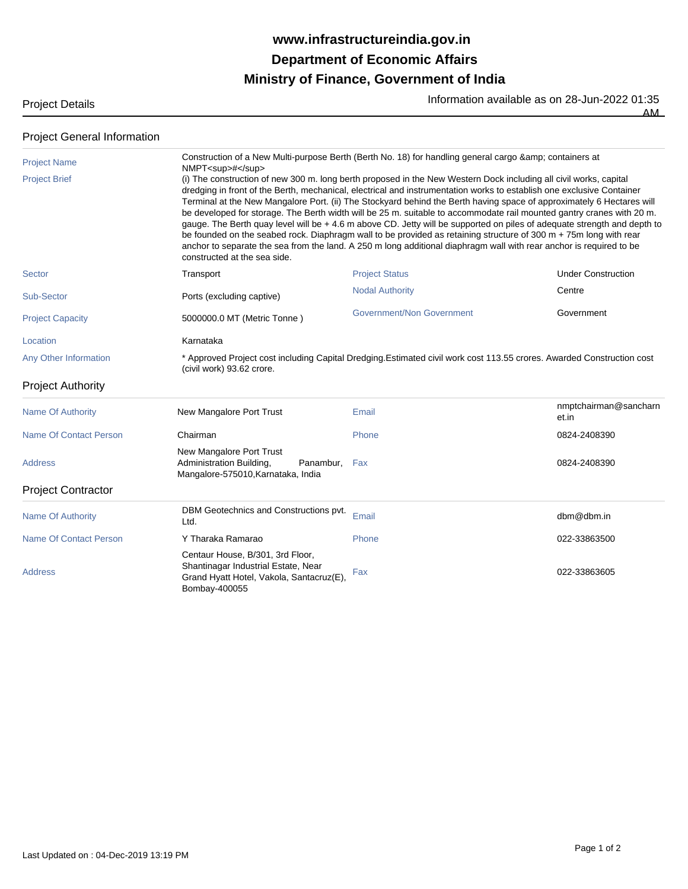## **Ministry of Finance, Government of India Department of Economic Affairs www.infrastructureindia.gov.in**

Project Details **Information available as on 28-Jun-2022** 01:35

 $\overline{AM}$ 

| <b>Project General Information</b> |                                                                                                                                                                                                                                                                                                                                                                                                                                                                                                                                                                                                                                                                                                                                                                                                                                                                                                                           |                                                                                                                        |                                |  |
|------------------------------------|---------------------------------------------------------------------------------------------------------------------------------------------------------------------------------------------------------------------------------------------------------------------------------------------------------------------------------------------------------------------------------------------------------------------------------------------------------------------------------------------------------------------------------------------------------------------------------------------------------------------------------------------------------------------------------------------------------------------------------------------------------------------------------------------------------------------------------------------------------------------------------------------------------------------------|------------------------------------------------------------------------------------------------------------------------|--------------------------------|--|
| <b>Project Name</b>                | Construction of a New Multi-purpose Berth (Berth No. 18) for handling general cargo & amp; containers at                                                                                                                                                                                                                                                                                                                                                                                                                                                                                                                                                                                                                                                                                                                                                                                                                  |                                                                                                                        |                                |  |
| <b>Project Brief</b>               | NMPT <sup>#</sup><br>(i) The construction of new 300 m. long berth proposed in the New Western Dock including all civil works, capital<br>dredging in front of the Berth, mechanical, electrical and instrumentation works to establish one exclusive Container<br>Terminal at the New Mangalore Port. (ii) The Stockyard behind the Berth having space of approximately 6 Hectares will<br>be developed for storage. The Berth width will be 25 m. suitable to accommodate rail mounted gantry cranes with 20 m.<br>gauge. The Berth quay level will be + 4.6 m above CD. Jetty will be supported on piles of adequate strength and depth to<br>be founded on the seabed rock. Diaphragm wall to be provided as retaining structure of 300 m + 75m long with rear<br>anchor to separate the sea from the land. A 250 m long additional diaphragm wall with rear anchor is required to be<br>constructed at the sea side. |                                                                                                                        |                                |  |
| Sector                             | Transport                                                                                                                                                                                                                                                                                                                                                                                                                                                                                                                                                                                                                                                                                                                                                                                                                                                                                                                 | <b>Project Status</b>                                                                                                  | <b>Under Construction</b>      |  |
| Sub-Sector                         | Ports (excluding captive)                                                                                                                                                                                                                                                                                                                                                                                                                                                                                                                                                                                                                                                                                                                                                                                                                                                                                                 | <b>Nodal Authority</b>                                                                                                 | Centre                         |  |
| <b>Project Capacity</b>            | 5000000.0 MT (Metric Tonne)                                                                                                                                                                                                                                                                                                                                                                                                                                                                                                                                                                                                                                                                                                                                                                                                                                                                                               | Government/Non Government                                                                                              | Government                     |  |
| Location                           | Karnataka                                                                                                                                                                                                                                                                                                                                                                                                                                                                                                                                                                                                                                                                                                                                                                                                                                                                                                                 |                                                                                                                        |                                |  |
| Any Other Information              | (civil work) 93.62 crore.                                                                                                                                                                                                                                                                                                                                                                                                                                                                                                                                                                                                                                                                                                                                                                                                                                                                                                 | * Approved Project cost including Capital Dredging. Estimated civil work cost 113.55 crores. Awarded Construction cost |                                |  |
| <b>Project Authority</b>           |                                                                                                                                                                                                                                                                                                                                                                                                                                                                                                                                                                                                                                                                                                                                                                                                                                                                                                                           |                                                                                                                        |                                |  |
| <b>Name Of Authority</b>           | New Mangalore Port Trust                                                                                                                                                                                                                                                                                                                                                                                                                                                                                                                                                                                                                                                                                                                                                                                                                                                                                                  | Email                                                                                                                  | nmptchairman@sancharn<br>et.in |  |
| Name Of Contact Person             | Chairman                                                                                                                                                                                                                                                                                                                                                                                                                                                                                                                                                                                                                                                                                                                                                                                                                                                                                                                  | Phone                                                                                                                  | 0824-2408390                   |  |
| <b>Address</b>                     | New Mangalore Port Trust<br>Administration Building,<br>Panambur,<br>Mangalore-575010, Karnataka, India                                                                                                                                                                                                                                                                                                                                                                                                                                                                                                                                                                                                                                                                                                                                                                                                                   | Fax                                                                                                                    | 0824-2408390                   |  |
| <b>Project Contractor</b>          |                                                                                                                                                                                                                                                                                                                                                                                                                                                                                                                                                                                                                                                                                                                                                                                                                                                                                                                           |                                                                                                                        |                                |  |
| <b>Name Of Authority</b>           | DBM Geotechnics and Constructions pvt.<br>Ltd.                                                                                                                                                                                                                                                                                                                                                                                                                                                                                                                                                                                                                                                                                                                                                                                                                                                                            | Email                                                                                                                  | dbm@dbm.in                     |  |
| <b>Name Of Contact Person</b>      | Y Tharaka Ramarao                                                                                                                                                                                                                                                                                                                                                                                                                                                                                                                                                                                                                                                                                                                                                                                                                                                                                                         | Phone                                                                                                                  | 022-33863500                   |  |
| <b>Address</b>                     | Centaur House, B/301, 3rd Floor,<br>Shantinagar Industrial Estate, Near<br>Grand Hyatt Hotel, Vakola, Santacruz(E),<br>Bombay-400055                                                                                                                                                                                                                                                                                                                                                                                                                                                                                                                                                                                                                                                                                                                                                                                      | Fax                                                                                                                    | 022-33863605                   |  |